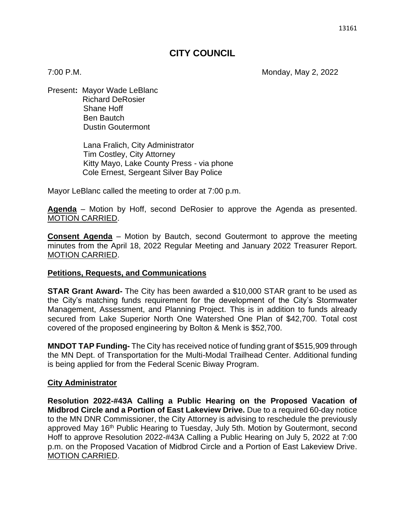# **CITY COUNCIL**

7:00 P.M. Monday, May 2, 2022

Present**:** Mayor Wade LeBlanc Richard DeRosier Shane Hoff Ben Bautch Dustin Goutermont

> Lana Fralich, City Administrator Tim Costley, City Attorney Kitty Mayo, Lake County Press - via phone Cole Ernest, Sergeant Silver Bay Police

Mayor LeBlanc called the meeting to order at 7:00 p.m.

**Agenda** – Motion by Hoff, second DeRosier to approve the Agenda as presented. MOTION CARRIED.

**Consent Agenda** – Motion by Bautch, second Goutermont to approve the meeting minutes from the April 18, 2022 Regular Meeting and January 2022 Treasurer Report. MOTION CARRIED.

#### **Petitions, Requests, and Communications**

**STAR Grant Award-** The City has been awarded a \$10,000 STAR grant to be used as the City's matching funds requirement for the development of the City's Stormwater Management, Assessment, and Planning Project. This is in addition to funds already secured from Lake Superior North One Watershed One Plan of \$42,700. Total cost covered of the proposed engineering by Bolton & Menk is \$52,700.

**MNDOT TAP Funding-** The City has received notice of funding grant of \$515,909 through the MN Dept. of Transportation for the Multi-Modal Trailhead Center. Additional funding is being applied for from the Federal Scenic Biway Program.

#### **City Administrator**

**Resolution 2022-#43A Calling a Public Hearing on the Proposed Vacation of Midbrod Circle and a Portion of East Lakeview Drive.** Due to a required 60-day notice to the MN DNR Commissioner, the City Attorney is advising to reschedule the previously approved May 16<sup>th</sup> Public Hearing to Tuesday, July 5th. Motion by Goutermont, second Hoff to approve Resolution 2022-#43A Calling a Public Hearing on July 5, 2022 at 7:00 p.m. on the Proposed Vacation of Midbrod Circle and a Portion of East Lakeview Drive. MOTION CARRIED.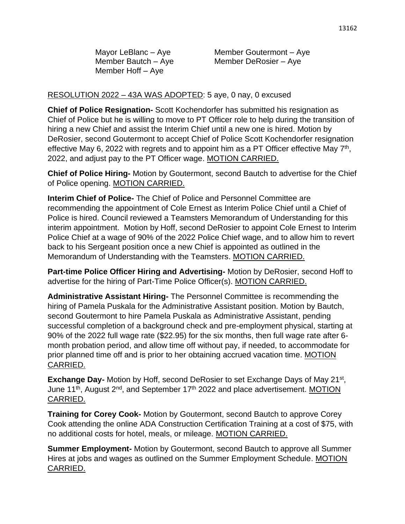Member Hoff – Aye

Mayor LeBlanc – Aye Member Goutermont – Aye Member Bautch – Aye Member DeRosier – Aye

## RESOLUTION 2022 – 43A WAS ADOPTED: 5 aye, 0 nay, 0 excused

**Chief of Police Resignation-** Scott Kochendorfer has submitted his resignation as Chief of Police but he is willing to move to PT Officer role to help during the transition of hiring a new Chief and assist the Interim Chief until a new one is hired. Motion by DeRosier, second Goutermont to accept Chief of Police Scott Kochendorfer resignation effective May 6, 2022 with regrets and to appoint him as a PT Officer effective May  $7<sup>th</sup>$ , 2022, and adjust pay to the PT Officer wage. MOTION CARRIED.

**Chief of Police Hiring-** Motion by Goutermont, second Bautch to advertise for the Chief of Police opening. MOTION CARRIED.

**Interim Chief of Police-** The Chief of Police and Personnel Committee are recommending the appointment of Cole Ernest as Interim Police Chief until a Chief of Police is hired. Council reviewed a Teamsters Memorandum of Understanding for this interim appointment. Motion by Hoff, second DeRosier to appoint Cole Ernest to Interim Police Chief at a wage of 90% of the 2022 Police Chief wage, and to allow him to revert back to his Sergeant position once a new Chief is appointed as outlined in the Memorandum of Understanding with the Teamsters. MOTION CARRIED.

**Part-time Police Officer Hiring and Advertising-** Motion by DeRosier, second Hoff to advertise for the hiring of Part-Time Police Officer(s). MOTION CARRIED.

**Administrative Assistant Hiring-** The Personnel Committee is recommending the hiring of Pamela Puskala for the Administrative Assistant position. Motion by Bautch, second Goutermont to hire Pamela Puskala as Administrative Assistant, pending successful completion of a background check and pre-employment physical, starting at 90% of the 2022 full wage rate (\$22.95) for the six months, then full wage rate after 6 month probation period, and allow time off without pay, if needed, to accommodate for prior planned time off and is prior to her obtaining accrued vacation time. MOTION CARRIED.

**Exchange Day-** Motion by Hoff, second DeRosier to set Exchange Days of May 21<sup>st</sup>, June 11<sup>th</sup>, August 2<sup>nd</sup>, and September 17<sup>th</sup> 2022 and place advertisement. MOTION CARRIED.

**Training for Corey Cook-** Motion by Goutermont, second Bautch to approve Corey Cook attending the online ADA Construction Certification Training at a cost of \$75, with no additional costs for hotel, meals, or mileage. MOTION CARRIED.

**Summer Employment-** Motion by Goutermont, second Bautch to approve all Summer Hires at jobs and wages as outlined on the Summer Employment Schedule. MOTION CARRIED.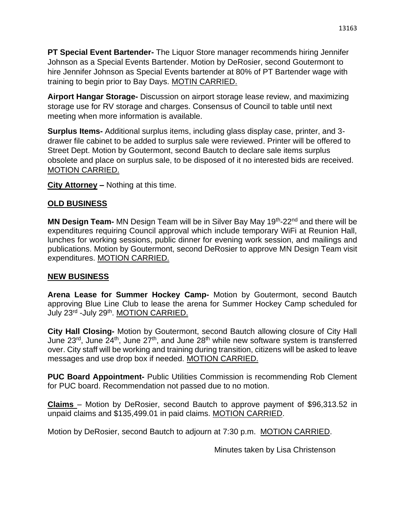**PT Special Event Bartender-** The Liquor Store manager recommends hiring Jennifer Johnson as a Special Events Bartender. Motion by DeRosier, second Goutermont to hire Jennifer Johnson as Special Events bartender at 80% of PT Bartender wage with training to begin prior to Bay Days. MOTIN CARRIED.

**Airport Hangar Storage-** Discussion on airport storage lease review, and maximizing storage use for RV storage and charges. Consensus of Council to table until next meeting when more information is available.

**Surplus Items-** Additional surplus items, including glass display case, printer, and 3 drawer file cabinet to be added to surplus sale were reviewed. Printer will be offered to Street Dept. Motion by Goutermont, second Bautch to declare sale items surplus obsolete and place on surplus sale, to be disposed of it no interested bids are received. MOTION CARRIED.

**City Attorney –** Nothing at this time.

## **OLD BUSINESS**

**MN Design Team-** MN Design Team will be in Silver Bay May 19<sup>th</sup>-22<sup>nd</sup> and there will be expenditures requiring Council approval which include temporary WiFi at Reunion Hall, lunches for working sessions, public dinner for evening work session, and mailings and publications. Motion by Goutermont, second DeRosier to approve MN Design Team visit expenditures. MOTION CARRIED.

### **NEW BUSINESS**

**Arena Lease for Summer Hockey Camp-** Motion by Goutermont, second Bautch approving Blue Line Club to lease the arena for Summer Hockey Camp scheduled for July 23<sup>rd</sup> -July 29<sup>th</sup>. MOTION CARRIED.

**City Hall Closing-** Motion by Goutermont, second Bautch allowing closure of City Hall June  $23^{\text{rd}}$ , June  $24^{\text{th}}$ , June  $27^{\text{th}}$ , and June  $28^{\text{th}}$  while new software system is transferred over. City staff will be working and training during transition, citizens will be asked to leave messages and use drop box if needed. MOTION CARRIED.

**PUC Board Appointment-** Public Utilities Commission is recommending Rob Clement for PUC board. Recommendation not passed due to no motion.

**Claims** – Motion by DeRosier, second Bautch to approve payment of \$96,313.52 in unpaid claims and \$135,499.01 in paid claims. MOTION CARRIED.

Motion by DeRosier, second Bautch to adjourn at 7:30 p.m. MOTION CARRIED.

Minutes taken by Lisa Christenson